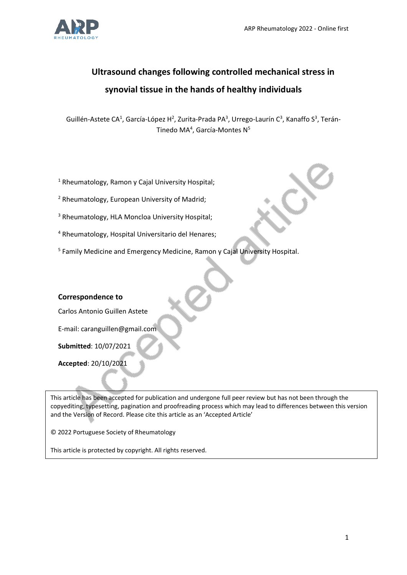

# **Ultrasound changes following controlled mechanical stress in synovial tissue in the hands of healthy individuals**

Guillén-Astete CA<sup>1</sup>, García-López H<sup>2</sup>, Zurita-Prada PA<sup>3</sup>, Urrego-Laurín C<sup>3</sup>, Kanaffo S<sup>3</sup>, Terán-Tinedo MA<sup>4</sup>, García-Montes N<sup>5</sup>

- <sup>1</sup> Rheumatology, Ramon y Cajal University Hospital;
- <sup>2</sup> Rheumatology, European University of Madrid;
- <sup>3</sup> Rheumatology, HLA Moncloa University Hospital;
- <sup>4</sup> Rheumatology, Hospital Universitario del Henares;
- <sup>5</sup> Family Medicine and Emergency Medicine, Ramon y Cajal University Hospital.

# **Correspondence to**

Carlos Antonio Guillen Astete

E-mail: caranguillen@gmail.com

**Submitted**: 10/07/2021

**Accepted**: 20/10/2021

This article has been accepted for publication and undergone full peer review but has not been through the copyediting, typesetting, pagination and proofreading process which may lead to differences between this version and the Version of Record. Please cite this article as an 'Accepted Article'

© 2022 Portuguese Society of Rheumatology

This article is protected by copyright. All rights reserved.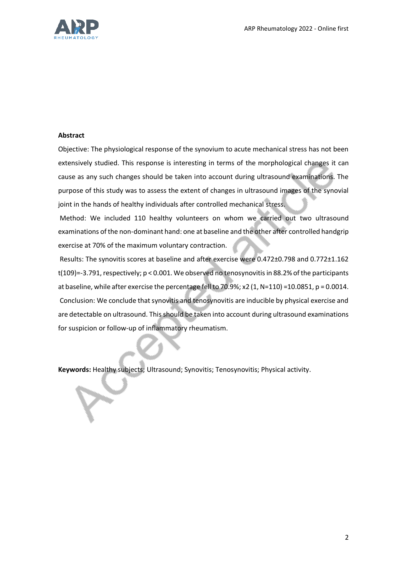

#### **Abstract**

Objective: The physiological response of the synovium to acute mechanical stress has not been extensively studied. This response is interesting in terms of the morphological changes it can cause as any such changes should be taken into account during ultrasound examinations. The purpose of this study was to assess the extent of changes in ultrasound images of the synovial joint in the hands of healthy individuals after controlled mechanical stress.

Method: We included 110 healthy volunteers on whom we carried out two ultrasound examinations of the non-dominant hand: one at baseline and the other after controlled handgrip exercise at 70% of the maximum voluntary contraction.

Results: The synovitis scores at baseline and after exercise were 0.472±0.798 and 0.772±1.162 t(109)=-3.791, respectively; p < 0.001. We observed no tenosynovitis in 88.2% of the participants at baseline, while after exercise the percentage fell to 70.9%; x2 (1, N=110) =10.0851, p = 0.0014. Conclusion: We conclude that synovitis and tenosynovitis are inducible by physical exercise and are detectable on ultrasound. This should be taken into account during ultrasound examinations for suspicion or follow-up of inflammatory rheumatism.

**Keywords:** Healthy subjects; Ultrasound; Synovitis; Tenosynovitis; Physical activity.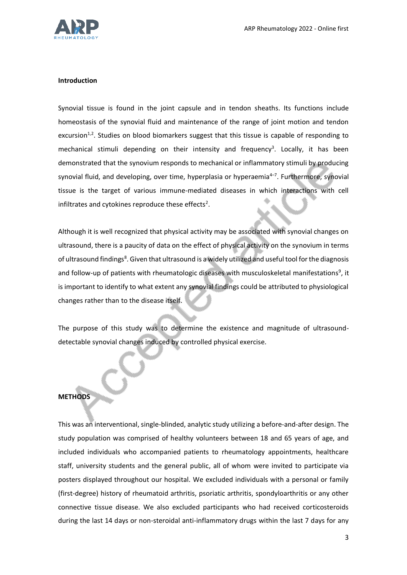

# **Introduction**

Synovial tissue is found in the joint capsule and in tendon sheaths. Its functions include homeostasis of the synovial fluid and maintenance of the range of joint motion and tendon excursion<sup>1,2</sup>. Studies on blood biomarkers suggest that this tissue is capable of responding to mechanical stimuli depending on their intensity and frequency<sup>3</sup>. Locally, it has been demonstrated that the synovium responds to mechanical or inflammatory stimuli by producing synovial fluid, and developing, over time, hyperplasia or hyperaemia<sup>4–7</sup>. Furthermore, synovial tissue is the target of various immune-mediated diseases in which interactions with cell infiltrates and cytokines reproduce these effects<sup>2</sup>.

Although it is well recognized that physical activity may be associated with synovial changes on ultrasound, there is a paucity of data on the effect of physical activity on the synovium in terms of ultrasound findings<sup>8</sup>. Given that ultrasound is a widely utilized and useful tool for the diagnosis and follow-up of patients with rheumatologic diseases with musculoskeletal manifestations<sup>9</sup>, it is important to identify to what extent any synovial findings could be attributed to physiological changes rather than to the disease itself.

The purpose of this study was to determine the existence and magnitude of ultrasounddetectable synovial changes induced by controlled physical exercise.

# **METHODS**

This was an interventional, single-blinded, analytic study utilizing a before-and-after design. The study population was comprised of healthy volunteers between 18 and 65 years of age, and included individuals who accompanied patients to rheumatology appointments, healthcare staff, university students and the general public, all of whom were invited to participate via posters displayed throughout our hospital. We excluded individuals with a personal or family (first-degree) history of rheumatoid arthritis, psoriatic arthritis, spondyloarthritis or any other connective tissue disease. We also excluded participants who had received corticosteroids during the last 14 days or non-steroidal anti-inflammatory drugs within the last 7 days for any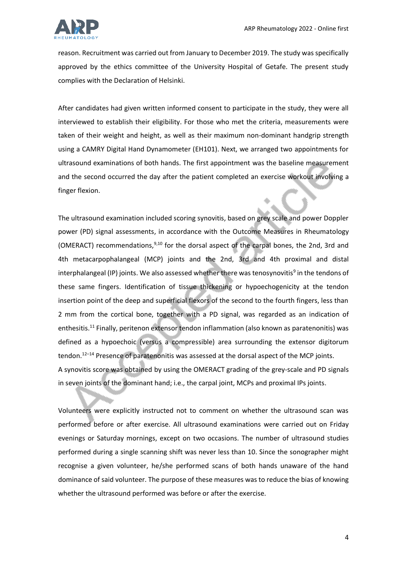

reason. Recruitment was carried out from January to December 2019. The study was specifically approved by the ethics committee of the University Hospital of Getafe. The present study complies with the Declaration of Helsinki.

After candidates had given written informed consent to participate in the study, they were all interviewed to establish their eligibility. For those who met the criteria, measurements were taken of their weight and height, as well as their maximum non-dominant handgrip strength using a CAMRY Digital Hand Dynamometer (EH101). Next, we arranged two appointments for ultrasound examinations of both hands. The first appointment was the baseline measurement and the second occurred the day after the patient completed an exercise workout involving a finger flexion.

The ultrasound examination included scoring synovitis, based on grey scale and power Doppler power (PD) signal assessments, in accordance with the Outcome Measures in Rheumatology (OMERACT) recommendations,  $9,10$  for the dorsal aspect of the carpal bones, the 2nd, 3rd and 4th metacarpophalangeal (MCP) joints and the 2nd, 3rd and 4th proximal and distal interphalangeal (IP) joints. We also assessed whether there was tenosynovitis<sup>9</sup> in the tendons of these same fingers. Identification of tissue thickening or hypoechogenicity at the tendon insertion point of the deep and superficial flexors of the second to the fourth fingers, less than 2 mm from the cortical bone, together with a PD signal, was regarded as an indication of enthesitis.<sup>11</sup> Finally, peritenon extensor tendon inflammation (also known as paratenonitis) was defined as a hypoechoic (versus a compressible) area surrounding the extensor digitorum tendon. $12-14$  Presence of paratenonitis was assessed at the dorsal aspect of the MCP joints. A synovitis score was obtained by using the OMERACT grading of the grey-scale and PD signals in seven joints of the dominant hand; i.e., the carpal joint, MCPs and proximal IPs joints.

Volunteers were explicitly instructed not to comment on whether the ultrasound scan was performed before or after exercise. All ultrasound examinations were carried out on Friday evenings or Saturday mornings, except on two occasions. The number of ultrasound studies performed during a single scanning shift was never less than 10. Since the sonographer might recognise a given volunteer, he/she performed scans of both hands unaware of the hand dominance of said volunteer. The purpose of these measures was to reduce the bias of knowing whether the ultrasound performed was before or after the exercise.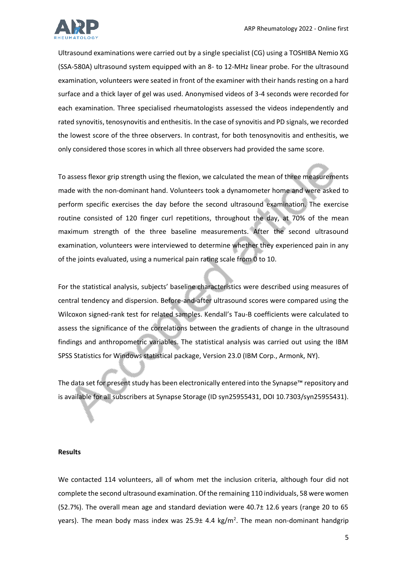

Ultrasound examinations were carried out by a single specialist (CG) using a TOSHIBA Nemio XG (SSA-580A) ultrasound system equipped with an 8- to 12-MHz linear probe. For the ultrasound examination, volunteers were seated in front of the examiner with their hands resting on a hard surface and a thick layer of gel was used. Anonymised videos of 3-4 seconds were recorded for each examination. Three specialised rheumatologists assessed the videos independently and rated synovitis, tenosynovitis and enthesitis. In the case of synovitis and PD signals, we recorded the lowest score of the three observers. In contrast, for both tenosynovitis and enthesitis, we only considered those scores in which all three observers had provided the same score.

To assess flexor grip strength using the flexion, we calculated the mean of three measurements made with the non-dominant hand. Volunteers took a dynamometer home and were asked to perform specific exercises the day before the second ultrasound examination. The exercise routine consisted of 120 finger curl repetitions, throughout the day, at 70% of the mean maximum strength of the three baseline measurements. After the second ultrasound examination, volunteers were interviewed to determine whether they experienced pain in any of the joints evaluated, using a numerical pain rating scale from 0 to 10.

For the statistical analysis, subjects' baseline characteristics were described using measures of central tendency and dispersion. Before-and-after ultrasound scores were compared using the Wilcoxon signed-rank test for related samples. Kendall's Tau-B coefficients were calculated to assess the significance of the correlations between the gradients of change in the ultrasound findings and anthropometric variables. The statistical analysis was carried out using the IBM SPSS Statistics for Windows statistical package, Version 23.0 (IBM Corp., Armonk, NY).

The data set for present study has been electronically entered into the Synapse™ repository and is available for all subscribers at Synapse Storage (ID syn25955431, DOI 10.7303/syn25955431).

#### **Results**

We contacted 114 volunteers, all of whom met the inclusion criteria, although four did not complete the second ultrasound examination. Of the remaining 110 individuals, 58 were women (52.7%). The overall mean age and standard deviation were 40.7± 12.6 years (range 20 to 65 years). The mean body mass index was 25.9 $\pm$  4.4 kg/m<sup>2</sup>. The mean non-dominant handgrip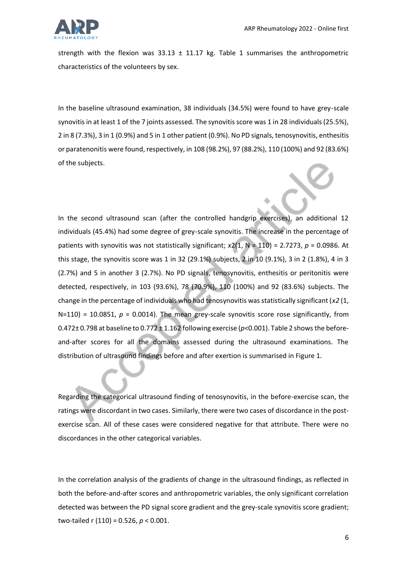

strength with the flexion was  $33.13 \pm 11.17$  kg. Table 1 summarises the anthropometric characteristics of the volunteers by sex.

In the baseline ultrasound examination, 38 individuals (34.5%) were found to have grey-scale synovitis in at least 1 of the 7 joints assessed. The synovitis score was 1 in 28 individuals (25.5%), 2 in 8 (7.3%), 3 in 1 (0.9%) and 5 in 1 other patient (0.9%). No PD signals, tenosynovitis, enthesitis or paratenonitis were found, respectively, in 108 (98.2%), 97 (88.2%), 110 (100%) and 92 (83.6%) of the subjects.

In the second ultrasound scan (after the controlled handgrip exercises), an additional 12 individuals (45.4%) had some degree of grey-scale synovitis. The increase in the percentage of patients with synovitis was not statistically significant; *x*2(1, N = 110) = 2.7273, *p* = 0.0986. At this stage, the synovitis score was 1 in 32 (29.1%) subjects, 2 in 10 (9.1%), 3 in 2 (1.8%), 4 in 3 (2.7%) and 5 in another 3 (2.7%). No PD signals, tenosynovitis, enthesitis or peritonitis were detected, respectively, in 103 (93.6%), 78 (70.9%), 110 (100%) and 92 (83.6%) subjects. The change in the percentage of individuals who had tenosynovitis was statistically significant (*x2* (1,  $N=110$ ) = 10.0851,  $p = 0.0014$ ). The mean grey-scale synovitis score rose significantly, from 0.472± 0.798 at baseline to 0.772 ± 1.162 following exercise (*p*<0.001). Table 2 shows the beforeand-after scores for all the domains assessed during the ultrasound examinations. The distribution of ultrasound findings before and after exertion is summarised in Figure 1.

Regarding the categorical ultrasound finding of tenosynovitis, in the before-exercise scan, the ratings were discordant in two cases. Similarly, there were two cases of discordance in the postexercise scan. All of these cases were considered negative for that attribute. There were no discordances in the other categorical variables.

In the correlation analysis of the gradients of change in the ultrasound findings, as reflected in both the before-and-after scores and anthropometric variables, the only significant correlation detected was between the PD signal score gradient and the grey-scale synovitis score gradient; two-tailed r (110) = 0.526, *p* < 0.001.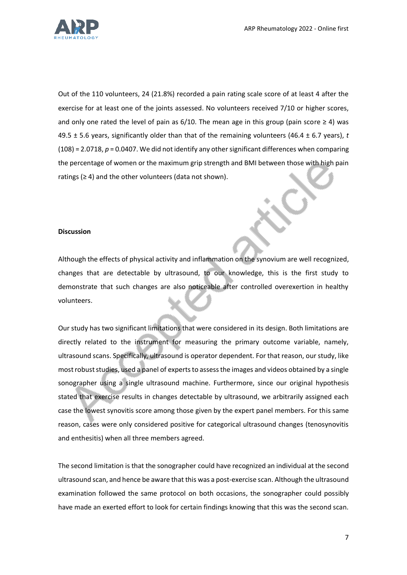

Out of the 110 volunteers, 24 (21.8%) recorded a pain rating scale score of at least 4 after the exercise for at least one of the joints assessed. No volunteers received 7/10 or higher scores, and only one rated the level of pain as  $6/10$ . The mean age in this group (pain score  $\geq 4$ ) was 49.5 ± 5.6 years, significantly older than that of the remaining volunteers (46.4 ± 6.7 years), *t*  (108) = 2.0718, *p* = 0.0407. We did not identify any other significant differences when comparing the percentage of women or the maximum grip strength and BMI between those with high pain ratings (≥ 4) and the other volunteers (data not shown).

# **Discussion**

Although the effects of physical activity and inflammation on the synovium are well recognized, changes that are detectable by ultrasound, to our knowledge, this is the first study to demonstrate that such changes are also noticeable after controlled overexertion in healthy volunteers.

Our study has two significant limitations that were considered in its design. Both limitations are directly related to the instrument for measuring the primary outcome variable, namely, ultrasound scans. Specifically, ultrasound is operator dependent. For that reason, our study, like most robust studies, used a panel of experts to assess the images and videos obtained by a single sonographer using a single ultrasound machine. Furthermore, since our original hypothesis stated that exercise results in changes detectable by ultrasound, we arbitrarily assigned each case the lowest synovitis score among those given by the expert panel members. For this same reason, cases were only considered positive for categorical ultrasound changes (tenosynovitis and enthesitis) when all three members agreed.

The second limitation is that the sonographer could have recognized an individual at the second ultrasound scan, and hence be aware that this was a post-exercise scan. Although the ultrasound examination followed the same protocol on both occasions, the sonographer could possibly have made an exerted effort to look for certain findings knowing that this was the second scan.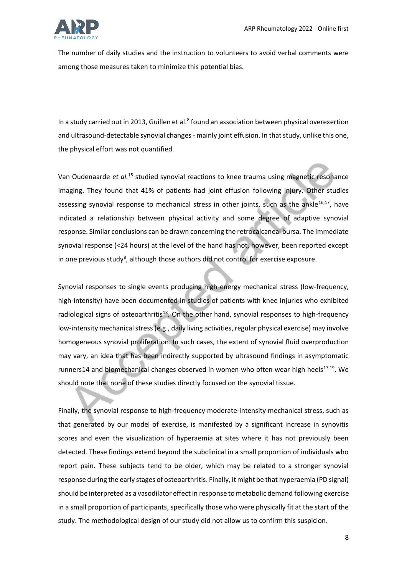

The number of daily studies and the instruction to volunteers to avoid verbal comments were among those measures taken to minimize this potential bias.

In a study carried out in 2013, Guillen et al.<sup>8</sup> found an association between physical overexertion and ultrasound-detectable synovial changes - mainly joint effusion. In that study, unlike this one, the physical effort was not quantified.

Van Oudenaarde et al.<sup>15</sup> studied synovial reactions to knee trauma using magnetic resonance imaging. They found that 41% of patients had joint effusion following injury. Other studies assessing synovial response to mechanical stress in other joints, such as the ankle<sup>16,17</sup>, have indicated a relationship between physical activity and some degree of adaptive synovial response. Similar conclusions can be drawn concerning the retrocalcaneal bursa. The immediate synovial response (<24 hours) at the level of the hand has not, however, been reported except in one previous study<sup>8</sup>, although those authors did not control for exercise exposure.

Synovial responses to single events producing high-energy mechanical stress (low-frequency, high-intensity) have been documented in studies of patients with knee injuries who exhibited radiological signs of osteoarthritis<sup>18</sup>. On the other hand, synovial responses to high-frequency low-intensity mechanical stress (e.g., daily living activities, regular physical exercise) may involve homogeneous synovial proliferation. In such cases, the extent of synovial fluid overproduction may vary, an idea that has been indirectly supported by ultrasound findings in asymptomatic runners14 and biomechanical changes observed in women who often wear high heels<sup>17,19</sup>. We should note that none of these studies directly focused on the synovial tissue.

Finally, the synovial response to high-frequency moderate-intensity mechanical stress, such as that generated by our model of exercise, is manifested by a significant increase in synovitis scores and even the visualization of hyperaemia at sites where it has not previously been detected. These findings extend beyond the subclinical in a small proportion of individuals who report pain. These subjects tend to be older, which may be related to a stronger synovial response during the early stages of osteoarthritis. Finally, it might be that hyperaemia (PD signal) should be interpreted as a vasodilator effect in response to metabolic demand following exercise in a small proportion of participants, specifically those who were physically fit at the start of the study. The methodological design of our study did not allow us to confirm this suspicion.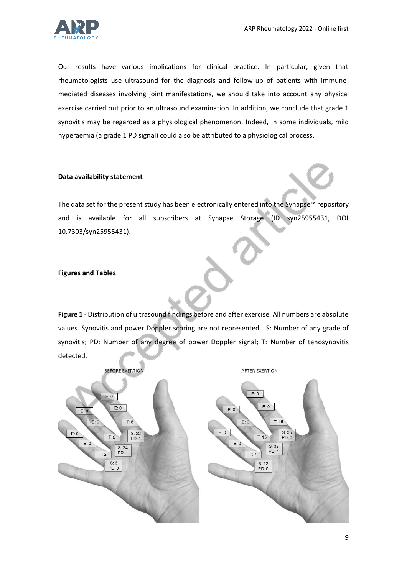

Our results have various implications for clinical practice. In particular, given that rheumatologists use ultrasound for the diagnosis and follow-up of patients with immunemediated diseases involving joint manifestations, we should take into account any physical exercise carried out prior to an ultrasound examination. In addition, we conclude that grade 1 synovitis may be regarded as a physiological phenomenon. Indeed, in some individuals, mild hyperaemia (a grade 1 PD signal) could also be attributed to a physiological process.

# **Data availability statement**

The data set for the present study has been electronically entered into the Synapse™ repository and is available for all subscribers at Synapse Storage (ID syn25955431, DOI 10.7303/syn25955431).

# **Figures and Tables**

**Figure 1** - Distribution of ultrasound findings before and after exercise. All numbers are absolute values. Synovitis and power Doppler scoring are not represented. S: Number of any grade of synovitis; PD: Number of any degree of power Doppler signal; T: Number of tenosynovitis detected.

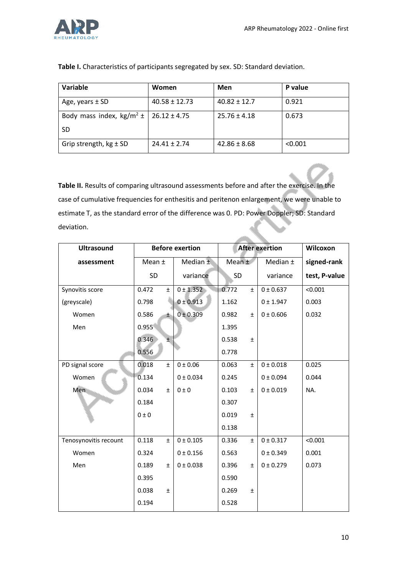

| Variable                                 | Women             | Men              | P value |
|------------------------------------------|-------------------|------------------|---------|
| Age, years $\pm$ SD                      | $40.58 \pm 12.73$ | $40.82 \pm 12.7$ | 0.921   |
| Body mass index, kg/m <sup>2</sup> $\pm$ | $26.12 \pm 4.75$  | $25.76 \pm 4.18$ | 0.673   |
| SD                                       |                   |                  |         |
| Grip strength, $kg \pm SD$               | $24.41 \pm 2.74$  | $42.86 \pm 8.68$ | < 0.001 |

**Table I.** Characteristics of participants segregated by sex. SD: Standard deviation.

**Table II.** Results of comparing ultrasound assessments before and after the exercise. In the case of cumulative frequencies for enthesitis and peritenon enlargement, we were unable to estimate T, as the standard error of the difference was 0. PD: Power Doppler; SD: Standard deviation.

| <b>Ultrasound</b>     | <b>Before exertion</b> |       | <b>After exertion</b> |           |       | Wilcoxon  |               |
|-----------------------|------------------------|-------|-----------------------|-----------|-------|-----------|---------------|
| assessment            | Mean ±                 |       | Median $\pm$          | Mean ±    |       | Median ±  | signed-rank   |
|                       | SD                     |       | variance              | <b>SD</b> |       | variance  | test, P-value |
| Synovitis score       | 0.472                  | Ŧ     | 0 ± 1.352             | 0.772     | $\pm$ | 0 ± 0.637 | < 0.001       |
| (greyscale)           | 0.798                  |       | 0 ± 0.913             | 1.162     |       | 0 ± 1.947 | 0.003         |
| Women                 | 0.586                  | ŧ.    | 0 ± 0.309             | 0.982     | $\pm$ | 0 ± 0.606 | 0.032         |
| Men                   | 0.955                  |       |                       | 1.395     |       |           |               |
|                       | 0.346                  | $\pm$ |                       | 0.538     | $\pm$ |           |               |
|                       | 0.556                  |       |                       | 0.778     |       |           |               |
| PD signal score       | 0.018                  | $\pm$ | 0 ± 0.06              | 0.063     | $\pm$ | 0 ± 0.018 | 0.025         |
| Women                 | 0.134                  |       | 0 ± 0.034             | 0.245     |       | 0 ± 0.094 | 0.044         |
| Men                   | 0.034                  | $\pm$ | 0 ± 0                 | 0.103     | $\pm$ | 0 ± 0.019 | NA.           |
|                       | 0.184                  |       |                       | 0.307     |       |           |               |
|                       | 0 ± 0                  |       |                       | 0.019     | $\pm$ |           |               |
|                       |                        |       |                       | 0.138     |       |           |               |
| Tenosynovitis recount | 0.118                  | Ŧ     | 0 ± 0.105             | 0.336     | $\pm$ | 0 ± 0.317 | < 0.001       |
| Women                 | 0.324                  |       | 0 ± 0.156             | 0.563     |       | 0 ± 0.349 | 0.001         |
| Men                   | 0.189                  | $\pm$ | 0 ± 0.038             | 0.396     | Ŧ     | 0 ± 0.279 | 0.073         |
|                       | 0.395                  |       |                       | 0.590     |       |           |               |
|                       | 0.038                  | $\pm$ |                       | 0.269     | $\pm$ |           |               |
|                       | 0.194                  |       |                       | 0.528     |       |           |               |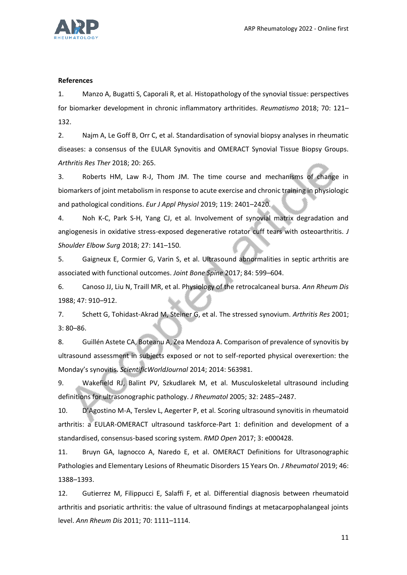

# **References**

1. Manzo A, Bugatti S, Caporali R, et al. Histopathology of the synovial tissue: perspectives for biomarker development in chronic inflammatory arthritides. *Reumatismo* 2018; 70: 121– 132.

2. Najm A, Le Goff B, Orr C, et al. Standardisation of synovial biopsy analyses in rheumatic diseases: a consensus of the EULAR Synovitis and OMERACT Synovial Tissue Biopsy Groups. *Arthritis Res Ther* 2018; 20: 265.

3. Roberts HM, Law R-J, Thom JM. The time course and mechanisms of change in biomarkers of joint metabolism in response to acute exercise and chronic training in physiologic and pathological conditions. *Eur J Appl Physiol* 2019; 119: 2401–2420.

4. Noh K-C, Park S-H, Yang CJ, et al. Involvement of synovial matrix degradation and angiogenesis in oxidative stress-exposed degenerative rotator cuff tears with osteoarthritis. *J Shoulder Elbow Surg* 2018; 27: 141–150.

5. Gaigneux E, Cormier G, Varin S, et al. Ultrasound abnormalities in septic arthritis are associated with functional outcomes. *Joint Bone Spine* 2017; 84: 599–604.

6. Canoso JJ, Liu N, Traill MR, et al. Physiology of the retrocalcaneal bursa. *Ann Rheum Dis* 1988; 47: 910–912.

7. Schett G, Tohidast-Akrad M, Steiner G, et al. The stressed synovium. *Arthritis Res* 2001; 3: 80–86.

8. Guillén Astete CA, Boteanu A, Zea Mendoza A. Comparison of prevalence of synovitis by ultrasound assessment in subjects exposed or not to self-reported physical overexertion: the Monday's synovitis. *ScientificWorldJournal* 2014; 2014: 563981.

9. Wakefield RJ, Balint PV, Szkudlarek M, et al. Musculoskeletal ultrasound including definitions for ultrasonographic pathology. *J Rheumatol* 2005; 32: 2485–2487.

10. D'Agostino M-A, Terslev L, Aegerter P, et al. Scoring ultrasound synovitis in rheumatoid arthritis: a EULAR-OMERACT ultrasound taskforce-Part 1: definition and development of a standardised, consensus-based scoring system. *RMD Open* 2017; 3: e000428.

11. Bruyn GA, Iagnocco A, Naredo E, et al. OMERACT Definitions for Ultrasonographic Pathologies and Elementary Lesions of Rheumatic Disorders 15 Years On. *J Rheumatol* 2019; 46: 1388–1393.

12. Gutierrez M, Filippucci E, Salaffi F, et al. Differential diagnosis between rheumatoid arthritis and psoriatic arthritis: the value of ultrasound findings at metacarpophalangeal joints level. *Ann Rheum Dis* 2011; 70: 1111–1114.